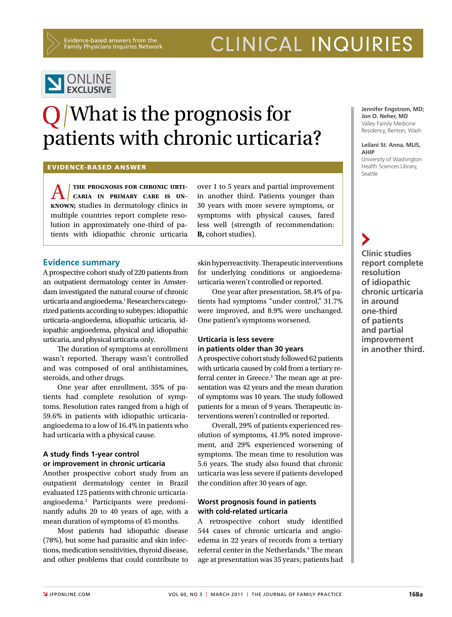Evidence-based answers from the Family Physicians Inquiries Network

## CLINICAL INQUIRIES



# O/What is the prognosis for patients with chronic urticaria?

#### Evidence-based answer

**A k k k k k k k cARIA IN PRIMARY CARE** IS UNKNOWN; studies in dermatology clinics in **the prognosis for chronic urti caria in primary care is un**multiple countries report complete resolution in approximately one-third of patients with idiopathic chronic urticaria over 1 to 5 years and partial improvement in another third. Patients younger than 30 years with more severe symptoms, or symptoms with physical causes, fared less well (strength of recommendation: **B,** cohort studies).

#### **Evidence summary**

A prospective cohort study of 220 patients from an outpatient dermatology center in Amsterdam investigated the natural course of chronic urticaria and angioedema.<sup>1</sup> Researchers categorized patients according to subtypes: idiopathic urticaria-angioedema, idiopathic urticaria, idiopathic angioedema, physical and idiopathic urticaria, and physical urticaria only.

The duration of symptoms at enrollment wasn't reported. Therapy wasn't controlled and was composed of oral antihistamines, steroids, and other drugs.

One year after enrollment, 35% of patients had complete resolution of symptoms. Resolution rates ranged from a high of 59.6% in patients with idiopathic urticariaangioedema to a low of 16.4% in patients who had urticaria with a physical cause.

#### **A study finds 1-year control or improvement in chronic urticaria**

Another prospective cohort study from an outpatient dermatology center in Brazil evaluated 125 patients with chronic urticariaangioedema.2 Participants were predominantly adults 20 to 40 years of age, with a mean duration of symptoms of 45 months.

Most patients had idiopathic disease (78%), but some had parasitic and skin infections, medication sensitivities, thyroid disease, and other problems that could contribute to skin hyperreactivity. Therapeutic interventions for underlying conditions or angioedemaurticaria weren't controlled or reported.

One year after presentation, 58.4% of patients had symptoms "under control," 31.7% were improved, and 8.9% were unchanged. One patient's symptoms worsened.

## **Urticaria is less severe in patients older than 30 years**

A prospective cohort study followed 62 patients with urticaria caused by cold from a tertiary referral center in Greece.<sup>3</sup> The mean age at presentation was 42 years and the mean duration of symptoms was 10 years. The study followed patients for a mean of 9 years. Therapeutic interventions weren't controlled or reported.

Overall, 29% of patients experienced resolution of symptoms, 41.9% noted improvement, and 29% experienced worsening of symptoms. The mean time to resolution was 5.6 years. The study also found that chronic urticaria was less severe if patients developed the condition after 30 years of age.

#### **Worst prognosis found in patients with cold-related urticaria**

A retrospective cohort study identified 544 cases of chronic urticaria and angioedema in 22 years of records from a tertiary referral center in the Netherlands.<sup>4</sup> The mean age at presentation was 35 years; patients had

**Jennifer Engstrom, MD; Jon O. Neher, MD** Valley Family Medicine Residency, Renton, Wash

#### **Leilani St. Anna, MLIS, AHIP**

University of Washington Health Sciences Library, Seattle

**Clinic studies report complete resolution of idiopathic chronic urticaria in around one-third of patients and partial improvement in another third.**